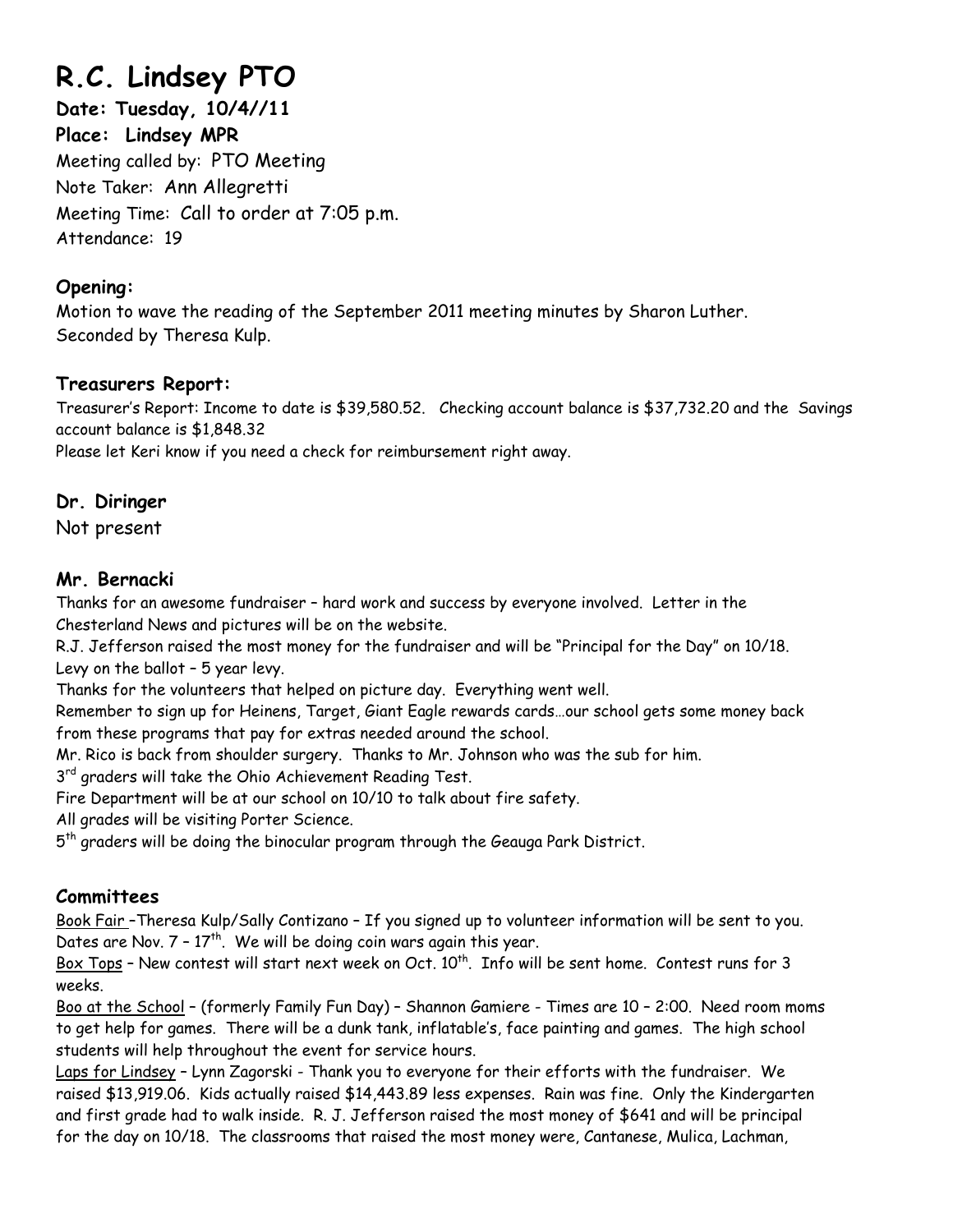# **R.C. Lindsey PTO**

**Date: Tuesday, 10/4//11 Place: Lindsey MPR**  Meeting called by: PTO Meeting Note Taker: Ann Allegretti Meeting Time: Call to order at 7:05 p.m. Attendance: 19

## **Opening:**

Motion to wave the reading of the September 2011 meeting minutes by Sharon Luther. Seconded by Theresa Kulp.

### **Treasurers Report:**

Treasurer's Report: Income to date is \$39,580.52. Checking account balance is \$37,732.20 and the Savings account balance is \$1,848.32

Please let Keri know if you need a check for reimbursement right away.

# **Dr. Diringer**

Not present

# **Mr. Bernacki**

Thanks for an awesome fundraiser – hard work and success by everyone involved. Letter in the Chesterland News and pictures will be on the website.

R.J. Jefferson raised the most money for the fundraiser and will be "Principal for the Day" on 10/18. Levy on the ballot – 5 year levy.

Thanks for the volunteers that helped on picture day. Everything went well.

Remember to sign up for Heinens, Target, Giant Eagle rewards cards…our school gets some money back from these programs that pay for extras needed around the school.

Mr. Rico is back from shoulder surgery. Thanks to Mr. Johnson who was the sub for him.

3<sup>rd</sup> graders will take the Ohio Achievement Reading Test.

Fire Department will be at our school on 10/10 to talk about fire safety.

All grades will be visiting Porter Science.

 $5<sup>th</sup>$  graders will be doing the binocular program through the Geauga Park District.

# **Committees**

Book Fair –Theresa Kulp/Sally Contizano – If you signed up to volunteer information will be sent to you. Dates are Nov.  $7 - 17$ <sup>th</sup>. We will be doing coin wars again this year.

Box Tops - New contest will start next week on Oct. 10<sup>th</sup>. Info will be sent home. Contest runs for 3 weeks.

Boo at the School – (formerly Family Fun Day) – Shannon Gamiere - Times are 10 – 2:00. Need room moms to get help for games. There will be a dunk tank, inflatable's, face painting and games. The high school students will help throughout the event for service hours.

Laps for Lindsey – Lynn Zagorski - Thank you to everyone for their efforts with the fundraiser. We raised \$13,919.06. Kids actually raised \$14,443.89 less expenses. Rain was fine. Only the Kindergarten and first grade had to walk inside. R. J. Jefferson raised the most money of \$641 and will be principal for the day on 10/18. The classrooms that raised the most money were, Cantanese, Mulica, Lachman,